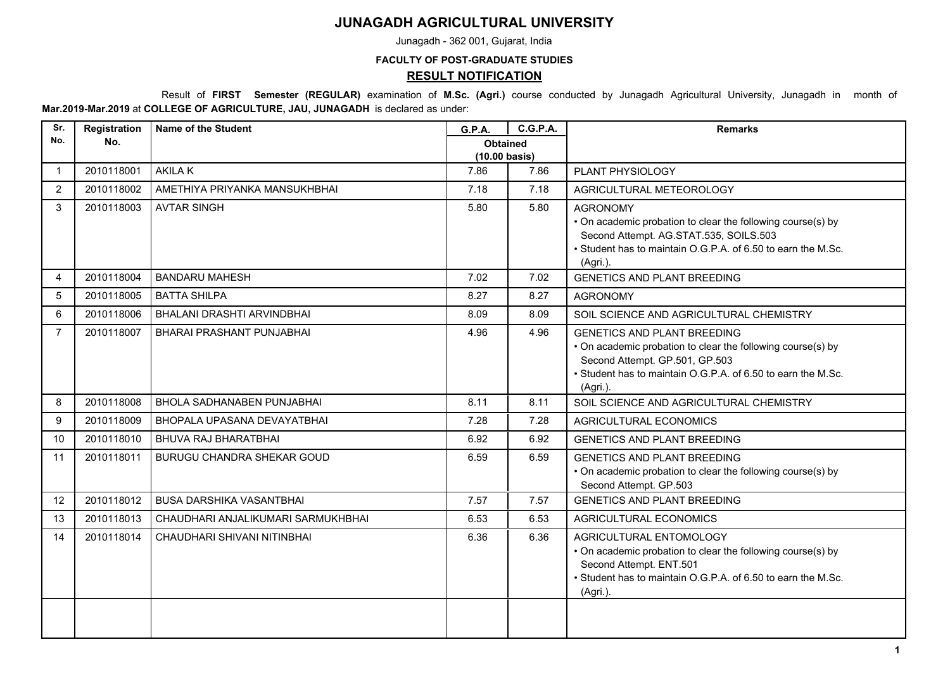## **JUNAGADH AGRICULTURAL UNIVERSITY**

Junagadh - 362 001, Gujarat, India

## **FACULTY OF POST-GRADUATE STUDIES**

## **RESULT NOTIFICATION**

 Result of **FIRST Semester (REGULAR)** examination of **M.Sc. (Agri.)** course conducted by Junagadh Agricultural University, Junagadh in month of **Mar.2019-Mar.2019** at **COLLEGE OF AGRICULTURE, JAU, JUNAGADH** is declared as under:

| Sr.            | Registration | <b>Name of the Student</b>         | <b>G.P.A.</b>                              | <b>C.G.P.A.</b> | <b>Remarks</b>                                                                                                                                                                                                  |
|----------------|--------------|------------------------------------|--------------------------------------------|-----------------|-----------------------------------------------------------------------------------------------------------------------------------------------------------------------------------------------------------------|
| No.            | No.          |                                    | <b>Obtained</b><br>$(10.00 \text{ basis})$ |                 |                                                                                                                                                                                                                 |
| $\mathbf{1}$   | 2010118001   | <b>AKILAK</b>                      | 7.86                                       | 7.86            | PLANT PHYSIOLOGY                                                                                                                                                                                                |
| 2              | 2010118002   | AMETHIYA PRIYANKA MANSUKHBHAI      | 7.18                                       | 7.18            | AGRICULTURAL METEOROLOGY                                                                                                                                                                                        |
| 3              | 2010118003   | <b>AVTAR SINGH</b>                 | 5.80                                       | 5.80            | <b>AGRONOMY</b><br>• On academic probation to clear the following course(s) by<br>Second Attempt. AG.STAT.535, SOILS.503<br>• Student has to maintain O.G.P.A. of 6.50 to earn the M.Sc.<br>(Agri.).            |
| 4              | 2010118004   | <b>BANDARU MAHESH</b>              | 7.02                                       | 7.02            | <b>GENETICS AND PLANT BREEDING</b>                                                                                                                                                                              |
| 5              | 2010118005   | <b>BATTA SHILPA</b>                | 8.27                                       | 8.27            | <b>AGRONOMY</b>                                                                                                                                                                                                 |
| 6              | 2010118006   | BHALANI DRASHTI ARVINDBHAI         | 8.09                                       | 8.09            | SOIL SCIENCE AND AGRICULTURAL CHEMISTRY                                                                                                                                                                         |
| $\overline{7}$ | 2010118007   | <b>BHARAI PRASHANT PUNJABHAI</b>   | 4.96                                       | 4.96            | <b>GENETICS AND PLANT BREEDING</b><br>• On academic probation to clear the following course(s) by<br>Second Attempt. GP.501, GP.503<br>• Student has to maintain O.G.P.A. of 6.50 to earn the M.Sc.<br>(Agri.). |
| 8              | 2010118008   | <b>BHOLA SADHANABEN PUNJABHAI</b>  | 8.11                                       | 8.11            | SOIL SCIENCE AND AGRICULTURAL CHEMISTRY                                                                                                                                                                         |
| 9              | 2010118009   | BHOPALA UPASANA DEVAYATBHAI        | 7.28                                       | 7.28            | AGRICULTURAL ECONOMICS                                                                                                                                                                                          |
| 10             | 2010118010   | BHUVA RAJ BHARATBHAI               | 6.92                                       | 6.92            | <b>GENETICS AND PLANT BREEDING</b>                                                                                                                                                                              |
| 11             | 2010118011   | <b>BURUGU CHANDRA SHEKAR GOUD</b>  | 6.59                                       | 6.59            | <b>GENETICS AND PLANT BREEDING</b><br>• On academic probation to clear the following course(s) by<br>Second Attempt. GP.503                                                                                     |
| 12             | 2010118012   | <b>BUSA DARSHIKA VASANTBHAI</b>    | 7.57                                       | 7.57            | <b>GENETICS AND PLANT BREEDING</b>                                                                                                                                                                              |
| 13             | 2010118013   | CHAUDHARI ANJALIKUMARI SARMUKHBHAI | 6.53                                       | 6.53            | <b>AGRICULTURAL ECONOMICS</b>                                                                                                                                                                                   |
| 14             | 2010118014   | CHAUDHARI SHIVANI NITINBHAI        | 6.36                                       | 6.36            | AGRICULTURAL ENTOMOLOGY<br>• On academic probation to clear the following course(s) by<br>Second Attempt. ENT.501<br>• Student has to maintain O.G.P.A. of 6.50 to earn the M.Sc.<br>(Agri.).                   |
|                |              |                                    |                                            |                 |                                                                                                                                                                                                                 |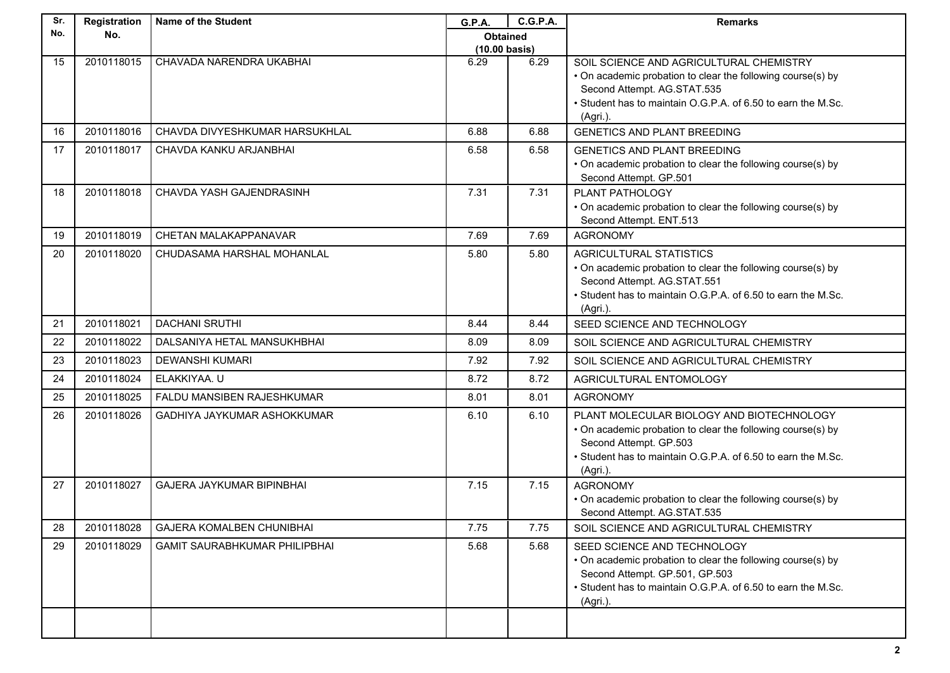| Sr. | Registration | Name of the Student                  | G.P.A.                  | C.G.P.A. | <b>Remarks</b>                                                                                         |
|-----|--------------|--------------------------------------|-------------------------|----------|--------------------------------------------------------------------------------------------------------|
| No. | No.          |                                      | <b>Obtained</b>         |          |                                                                                                        |
|     |              |                                      | $(10.00 \text{ basis})$ |          |                                                                                                        |
| 15  | 2010118015   | CHAVADA NARENDRA UKABHAI             | 6.29                    | 6.29     | SOIL SCIENCE AND AGRICULTURAL CHEMISTRY<br>• On academic probation to clear the following course(s) by |
|     |              |                                      |                         |          | Second Attempt. AG.STAT.535                                                                            |
|     |              |                                      |                         |          | • Student has to maintain O.G.P.A. of 6.50 to earn the M.Sc.                                           |
|     |              |                                      |                         |          | (Agri.).                                                                                               |
| 16  | 2010118016   | CHAVDA DIVYESHKUMAR HARSUKHLAL       | 6.88                    | 6.88     | <b>GENETICS AND PLANT BREEDING</b>                                                                     |
| 17  | 2010118017   | CHAVDA KANKU ARJANBHAI               | 6.58                    | 6.58     | <b>GENETICS AND PLANT BREEDING</b>                                                                     |
|     |              |                                      |                         |          | • On academic probation to clear the following course(s) by                                            |
|     |              |                                      |                         |          | Second Attempt. GP.501                                                                                 |
| 18  | 2010118018   | CHAVDA YASH GAJENDRASINH             | 7.31                    | 7.31     | PLANT PATHOLOGY                                                                                        |
|     |              |                                      |                         |          | • On academic probation to clear the following course(s) by<br>Second Attempt. ENT.513                 |
| 19  | 2010118019   | CHETAN MALAKAPPANAVAR                | 7.69                    | 7.69     | <b>AGRONOMY</b>                                                                                        |
| 20  | 2010118020   | CHUDASAMA HARSHAL MOHANLAL           | 5.80                    | 5.80     | <b>AGRICULTURAL STATISTICS</b>                                                                         |
|     |              |                                      |                         |          | • On academic probation to clear the following course(s) by                                            |
|     |              |                                      |                         |          | Second Attempt. AG.STAT.551                                                                            |
|     |              |                                      |                         |          | • Student has to maintain O.G.P.A. of 6.50 to earn the M.Sc.                                           |
| 21  | 2010118021   | <b>DACHANI SRUTHI</b>                | 8.44                    | 8.44     | (Agri.)<br>SEED SCIENCE AND TECHNOLOGY                                                                 |
|     |              |                                      |                         |          |                                                                                                        |
| 22  | 2010118022   | DALSANIYA HETAL MANSUKHBHAI          | 8.09                    | 8.09     | SOIL SCIENCE AND AGRICULTURAL CHEMISTRY                                                                |
| 23  | 2010118023   | <b>DEWANSHI KUMARI</b>               | 7.92                    | 7.92     | SOIL SCIENCE AND AGRICULTURAL CHEMISTRY                                                                |
| 24  | 2010118024   | ELAKKIYAA. U                         | 8.72                    | 8.72     | AGRICULTURAL ENTOMOLOGY                                                                                |
| 25  | 2010118025   | FALDU MANSIBEN RAJESHKUMAR           | 8.01                    | 8.01     | <b>AGRONOMY</b>                                                                                        |
| 26  | 2010118026   | GADHIYA JAYKUMAR ASHOKKUMAR          | 6.10                    | 6.10     | PLANT MOLECULAR BIOLOGY AND BIOTECHNOLOGY                                                              |
|     |              |                                      |                         |          | • On academic probation to clear the following course(s) by                                            |
|     |              |                                      |                         |          | Second Attempt. GP.503                                                                                 |
|     |              |                                      |                         |          | • Student has to maintain O.G.P.A. of 6.50 to earn the M.Sc.                                           |
| 27  | 2010118027   | <b>GAJERA JAYKUMAR BIPINBHAI</b>     | 7.15                    | 7.15     | (Agri.).<br><b>AGRONOMY</b>                                                                            |
|     |              |                                      |                         |          | • On academic probation to clear the following course(s) by                                            |
|     |              |                                      |                         |          | Second Attempt. AG.STAT.535                                                                            |
| 28  | 2010118028   | <b>GAJERA KOMALBEN CHUNIBHAI</b>     | 7.75                    | 7.75     | SOIL SCIENCE AND AGRICULTURAL CHEMISTRY                                                                |
| 29  | 2010118029   | <b>GAMIT SAURABHKUMAR PHILIPBHAI</b> | 5.68                    | 5.68     | SEED SCIENCE AND TECHNOLOGY                                                                            |
|     |              |                                      |                         |          | • On academic probation to clear the following course(s) by                                            |
|     |              |                                      |                         |          | Second Attempt. GP.501, GP.503                                                                         |
|     |              |                                      |                         |          | • Student has to maintain O.G.P.A. of 6.50 to earn the M.Sc.                                           |
|     |              |                                      |                         |          | (Agri.).                                                                                               |
|     |              |                                      |                         |          |                                                                                                        |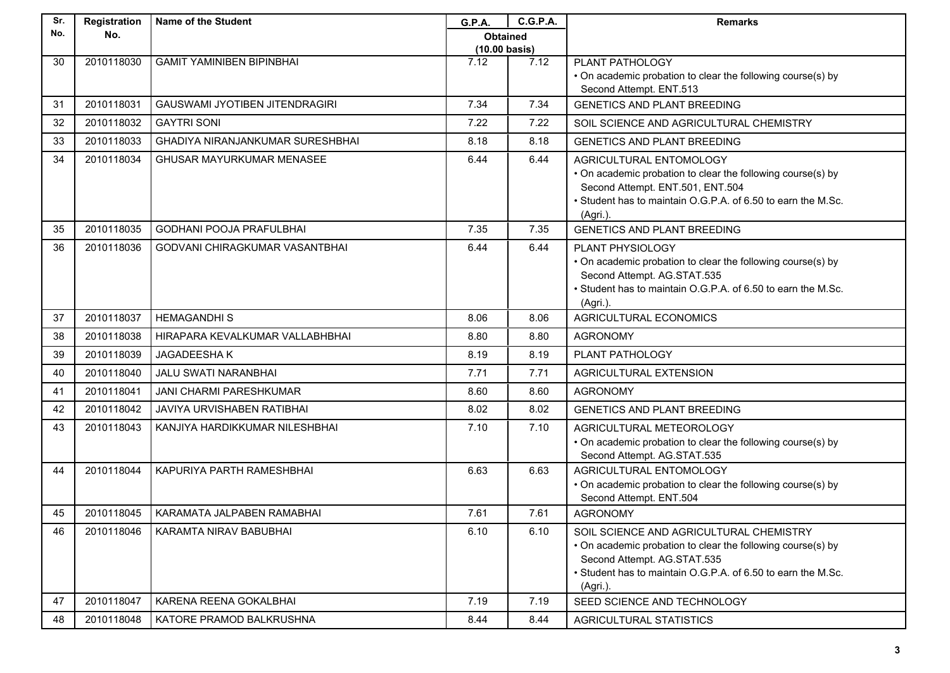| Sr. | Registration | <b>Name of the Student</b>              | G.P.A.                          | <b>C.G.P.A.</b> | <b>Remarks</b>                                                                                                                                                                                                    |
|-----|--------------|-----------------------------------------|---------------------------------|-----------------|-------------------------------------------------------------------------------------------------------------------------------------------------------------------------------------------------------------------|
| No. | No.          |                                         | <b>Obtained</b>                 |                 |                                                                                                                                                                                                                   |
| 30  | 2010118030   | <b>GAMIT YAMINIBEN BIPINBHAI</b>        | $(10.00 \text{ basis})$<br>7.12 | 7.12            | PLANT PATHOLOGY                                                                                                                                                                                                   |
|     |              |                                         |                                 |                 | • On academic probation to clear the following course(s) by                                                                                                                                                       |
|     |              |                                         |                                 |                 | Second Attempt. ENT.513                                                                                                                                                                                           |
| 31  | 2010118031   | <b>GAUSWAMI JYOTIBEN JITENDRAGIRI</b>   | 7.34                            | 7.34            | <b>GENETICS AND PLANT BREEDING</b>                                                                                                                                                                                |
| 32  | 2010118032   | <b>GAYTRI SONI</b>                      | 7.22                            | 7.22            | SOIL SCIENCE AND AGRICULTURAL CHEMISTRY                                                                                                                                                                           |
| 33  | 2010118033   | <b>GHADIYA NIRANJANKUMAR SURESHBHAI</b> | 8.18                            | 8.18            | <b>GENETICS AND PLANT BREEDING</b>                                                                                                                                                                                |
| 34  | 2010118034   | GHUSAR MAYURKUMAR MENASEE               | 6.44                            | 6.44            | AGRICULTURAL ENTOMOLOGY<br>• On academic probation to clear the following course(s) by<br>Second Attempt. ENT.501, ENT.504<br>• Student has to maintain O.G.P.A. of 6.50 to earn the M.Sc.<br>(Agri.).            |
| 35  | 2010118035   | <b>GODHANI POOJA PRAFULBHAI</b>         | 7.35                            | 7.35            | <b>GENETICS AND PLANT BREEDING</b>                                                                                                                                                                                |
| 36  | 2010118036   | GODVANI CHIRAGKUMAR VASANTBHAI          | 6.44                            | 6.44            | PLANT PHYSIOLOGY<br>• On academic probation to clear the following course(s) by<br>Second Attempt. AG.STAT.535<br>• Student has to maintain O.G.P.A. of 6.50 to earn the M.Sc.<br>(Agri.).                        |
| 37  | 2010118037   | <b>HEMAGANDHIS</b>                      | 8.06                            | 8.06            | <b>AGRICULTURAL ECONOMICS</b>                                                                                                                                                                                     |
| 38  | 2010118038   | HIRAPARA KEVALKUMAR VALLABHBHAI         | 8.80                            | 8.80            | <b>AGRONOMY</b>                                                                                                                                                                                                   |
| 39  | 2010118039   | JAGADEESHAK                             | 8.19                            | 8.19            | PLANT PATHOLOGY                                                                                                                                                                                                   |
| 40  | 2010118040   | <b>JALU SWATI NARANBHAI</b>             | 7.71                            | 7.71            | AGRICULTURAL EXTENSION                                                                                                                                                                                            |
| 41  | 2010118041   | JANI CHARMI PARESHKUMAR                 | 8.60                            | 8.60            | <b>AGRONOMY</b>                                                                                                                                                                                                   |
| 42  | 2010118042   | <b>JAVIYA URVISHABEN RATIBHAI</b>       | 8.02                            | 8.02            | <b>GENETICS AND PLANT BREEDING</b>                                                                                                                                                                                |
| 43  | 2010118043   | KANJIYA HARDIKKUMAR NILESHBHAI          | 7.10                            | 7.10            | AGRICULTURAL METEOROLOGY<br>• On academic probation to clear the following course(s) by<br>Second Attempt. AG.STAT.535                                                                                            |
| 44  | 2010118044   | KAPURIYA PARTH RAMESHBHAI               | 6.63                            | 6.63            | AGRICULTURAL ENTOMOLOGY<br>• On academic probation to clear the following course(s) by<br>Second Attempt. ENT.504                                                                                                 |
| 45  | 2010118045   | KARAMATA JALPABEN RAMABHAI              | 7.61                            | 7.61            | <b>AGRONOMY</b>                                                                                                                                                                                                   |
| 46  | 2010118046   | KARAMTA NIRAV BABUBHAI                  | 6.10                            | 6.10            | SOIL SCIENCE AND AGRICULTURAL CHEMISTRY<br>• On academic probation to clear the following course(s) by<br>Second Attempt. AG.STAT.535<br>• Student has to maintain O.G.P.A. of 6.50 to earn the M.Sc.<br>(Agri.). |
| 47  | 2010118047   | KARENA REENA GOKALBHAI                  | 7.19                            | 7.19            | SEED SCIENCE AND TECHNOLOGY                                                                                                                                                                                       |
| 48  | 2010118048   | KATORE PRAMOD BALKRUSHNA                | 8.44                            | 8.44            | <b>AGRICULTURAL STATISTICS</b>                                                                                                                                                                                    |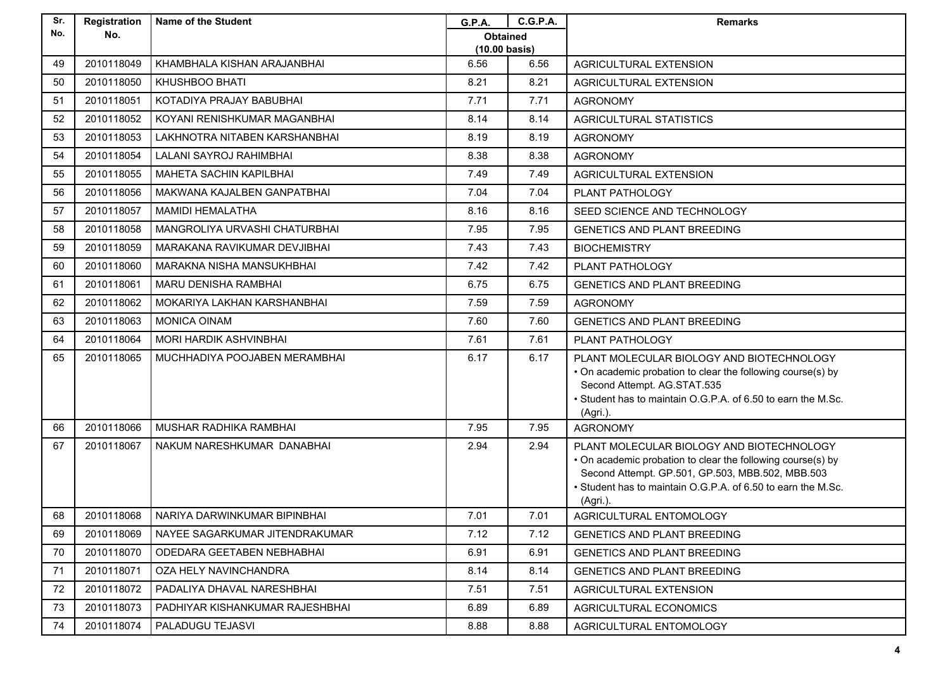| Sr. | Registration | <b>Name of the Student</b>      | <b>G.P.A.</b>                   | <b>C.G.P.A.</b> | <b>Remarks</b>                                                                                                                                                                                                                           |
|-----|--------------|---------------------------------|---------------------------------|-----------------|------------------------------------------------------------------------------------------------------------------------------------------------------------------------------------------------------------------------------------------|
| No. | No.          |                                 | Obtained                        |                 |                                                                                                                                                                                                                                          |
| 49  | 2010118049   | KHAMBHALA KISHAN ARAJANBHAI     | $(10.00 \text{ basis})$<br>6.56 | 6.56            | <b>AGRICULTURAL EXTENSION</b>                                                                                                                                                                                                            |
| 50  | 2010118050   | KHUSHBOO BHATI                  | 8.21                            | 8.21            | <b>AGRICULTURAL EXTENSION</b>                                                                                                                                                                                                            |
| 51  | 2010118051   | KOTADIYA PRAJAY BABUBHAI        | 7.71                            | 7.71            | <b>AGRONOMY</b>                                                                                                                                                                                                                          |
| 52  | 2010118052   | KOYANI RENISHKUMAR MAGANBHAI    | 8.14                            | 8.14            | <b>AGRICULTURAL STATISTICS</b>                                                                                                                                                                                                           |
| 53  | 2010118053   | LAKHNOTRA NITABEN KARSHANBHAI   | 8.19                            | 8.19            | <b>AGRONOMY</b>                                                                                                                                                                                                                          |
| 54  | 2010118054   | LALANI SAYROJ RAHIMBHAI         | 8.38                            | 8.38            | <b>AGRONOMY</b>                                                                                                                                                                                                                          |
| 55  | 2010118055   | MAHETA SACHIN KAPILBHAI         | 7.49                            | 7.49            | AGRICULTURAL EXTENSION                                                                                                                                                                                                                   |
| 56  | 2010118056   | MAKWANA KAJALBEN GANPATBHAI     | 7.04                            | 7.04            | PLANT PATHOLOGY                                                                                                                                                                                                                          |
| 57  | 2010118057   | <b>MAMIDI HEMALATHA</b>         | 8.16                            | 8.16            | SEED SCIENCE AND TECHNOLOGY                                                                                                                                                                                                              |
| 58  | 2010118058   | MANGROLIYA URVASHI CHATURBHAI   | 7.95                            | 7.95            | <b>GENETICS AND PLANT BREEDING</b>                                                                                                                                                                                                       |
| 59  | 2010118059   | MARAKANA RAVIKUMAR DEVJIBHAI    | 7.43                            | 7.43            | <b>BIOCHEMISTRY</b>                                                                                                                                                                                                                      |
| 60  | 2010118060   | MARAKNA NISHA MANSUKHBHAI       | 7.42                            | 7.42            | PLANT PATHOLOGY                                                                                                                                                                                                                          |
| 61  | 2010118061   | <b>MARU DENISHA RAMBHAI</b>     | 6.75                            | 6.75            | GENETICS AND PLANT BREEDING                                                                                                                                                                                                              |
| 62  | 2010118062   | MOKARIYA LAKHAN KARSHANBHAI     | 7.59                            | 7.59            | <b>AGRONOMY</b>                                                                                                                                                                                                                          |
| 63  | 2010118063   | <b>MONICA OINAM</b>             | 7.60                            | 7.60            | <b>GENETICS AND PLANT BREEDING</b>                                                                                                                                                                                                       |
| 64  | 2010118064   | MORI HARDIK ASHVINBHAI          | 7.61                            | 7.61            | PLANT PATHOLOGY                                                                                                                                                                                                                          |
| 65  | 2010118065   | MUCHHADIYA POOJABEN MERAMBHAI   | 6.17                            | 6.17            | PLANT MOLECULAR BIOLOGY AND BIOTECHNOLOGY<br>• On academic probation to clear the following course(s) by<br>Second Attempt. AG.STAT.535<br>• Student has to maintain O.G.P.A. of 6.50 to earn the M.Sc.<br>(Agri.).                      |
| 66  | 2010118066   | MUSHAR RADHIKA RAMBHAI          | 7.95                            | 7.95            | <b>AGRONOMY</b>                                                                                                                                                                                                                          |
| 67  | 2010118067   | NAKUM NARESHKUMAR DANABHAI      | 2.94                            | 2.94            | PLANT MOLECULAR BIOLOGY AND BIOTECHNOLOGY<br>• On academic probation to clear the following course(s) by<br>Second Attempt. GP.501, GP.503, MBB.502, MBB.503<br>• Student has to maintain O.G.P.A. of 6.50 to earn the M.Sc.<br>(Agri.). |
| 68  | 2010118068   | NARIYA DARWINKUMAR BIPINBHAI    | 7.01                            | 7.01            | AGRICULTURAL ENTOMOLOGY                                                                                                                                                                                                                  |
| 69  | 2010118069   | NAYEE SAGARKUMAR JITENDRAKUMAR  | 7.12                            | 7.12            | <b>GENETICS AND PLANT BREEDING</b>                                                                                                                                                                                                       |
| 70  | 2010118070   | ODEDARA GEETABEN NEBHABHAI      | 6.91                            | 6.91            | GENETICS AND PLANT BREEDING                                                                                                                                                                                                              |
| 71  | 2010118071   | OZA HELY NAVINCHANDRA           | 8.14                            | 8.14            | <b>GENETICS AND PLANT BREEDING</b>                                                                                                                                                                                                       |
| 72  | 2010118072   | PADALIYA DHAVAL NARESHBHAI      | 7.51                            | 7.51            | AGRICULTURAL EXTENSION                                                                                                                                                                                                                   |
| 73  | 2010118073   | PADHIYAR KISHANKUMAR RAJESHBHAI | 6.89                            | 6.89            | AGRICULTURAL ECONOMICS                                                                                                                                                                                                                   |
| 74  | 2010118074   | PALADUGU TEJASVI                | 8.88                            | 8.88            | AGRICULTURAL ENTOMOLOGY                                                                                                                                                                                                                  |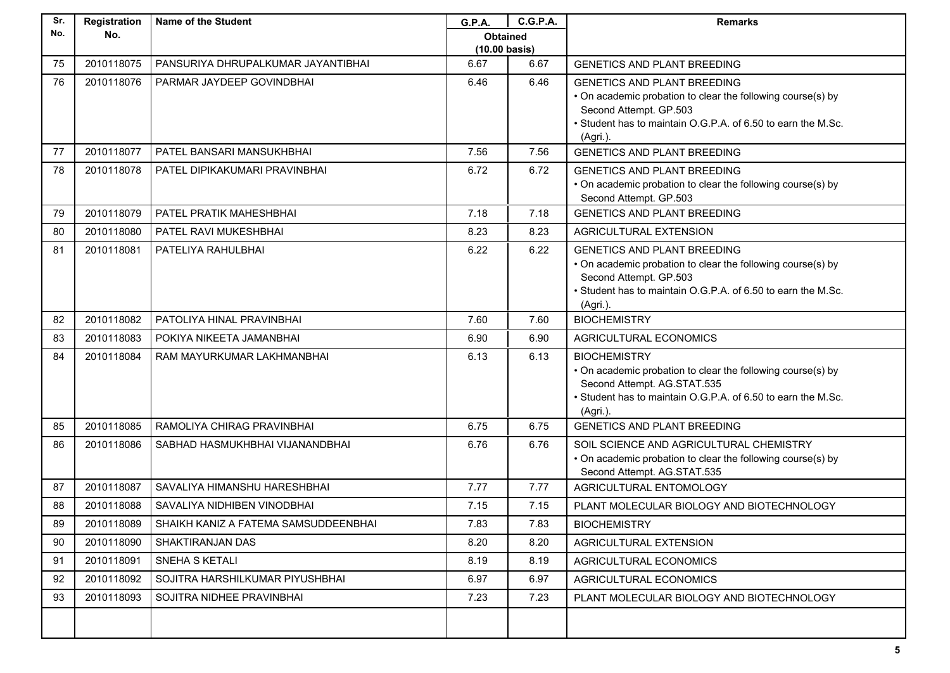| Sr. | Registration | <b>Name of the Student</b>           | G.P.A.                  | <b>C.G.P.A.</b> | <b>Remarks</b>                                                                                                                                                                                          |
|-----|--------------|--------------------------------------|-------------------------|-----------------|---------------------------------------------------------------------------------------------------------------------------------------------------------------------------------------------------------|
| No. | No.          |                                      | <b>Obtained</b>         |                 |                                                                                                                                                                                                         |
|     |              |                                      | $(10.00 \text{ basis})$ |                 |                                                                                                                                                                                                         |
| 75  | 2010118075   | PANSURIYA DHRUPALKUMAR JAYANTIBHAI   | 6.67                    | 6.67            | <b>GENETICS AND PLANT BREEDING</b>                                                                                                                                                                      |
| 76  | 2010118076   | PARMAR JAYDEEP GOVINDBHAI            | 6.46                    | 6.46            | <b>GENETICS AND PLANT BREEDING</b><br>• On academic probation to clear the following course(s) by<br>Second Attempt. GP.503<br>• Student has to maintain O.G.P.A. of 6.50 to earn the M.Sc.<br>(Agri.). |
| 77  | 2010118077   | PATEL BANSARI MANSUKHBHAI            | 7.56                    | 7.56            | <b>GENETICS AND PLANT BREEDING</b>                                                                                                                                                                      |
| 78  | 2010118078   | PATEL DIPIKAKUMARI PRAVINBHAI        | 6.72                    | 6.72            | <b>GENETICS AND PLANT BREEDING</b><br>• On academic probation to clear the following course(s) by<br>Second Attempt. GP.503                                                                             |
| 79  | 2010118079   | PATEL PRATIK MAHESHBHAI              | 7.18                    | 7.18            | <b>GENETICS AND PLANT BREEDING</b>                                                                                                                                                                      |
| 80  | 2010118080   | PATEL RAVI MUKESHBHAI                | 8.23                    | 8.23            | <b>AGRICULTURAL EXTENSION</b>                                                                                                                                                                           |
| 81  | 2010118081   | PATELIYA RAHULBHAI                   | 6.22                    | 6.22            | <b>GENETICS AND PLANT BREEDING</b><br>• On academic probation to clear the following course(s) by<br>Second Attempt. GP.503<br>• Student has to maintain O.G.P.A. of 6.50 to earn the M.Sc.<br>(Agri.). |
| 82  | 2010118082   | PATOLIYA HINAL PRAVINBHAI            | 7.60                    | 7.60            | <b>BIOCHEMISTRY</b>                                                                                                                                                                                     |
| 83  | 2010118083   | POKIYA NIKEETA JAMANBHAI             | 6.90                    | 6.90            | AGRICULTURAL ECONOMICS                                                                                                                                                                                  |
| 84  | 2010118084   | RAM MAYURKUMAR LAKHMANBHAI           | 6.13                    | 6.13            | <b>BIOCHEMISTRY</b><br>• On academic probation to clear the following course(s) by<br>Second Attempt. AG.STAT.535<br>• Student has to maintain O.G.P.A. of 6.50 to earn the M.Sc.<br>(Agri.).           |
| 85  | 2010118085   | RAMOLIYA CHIRAG PRAVINBHAI           | 6.75                    | 6.75            | <b>GENETICS AND PLANT BREEDING</b>                                                                                                                                                                      |
| 86  | 2010118086   | SABHAD HASMUKHBHAI VIJANANDBHAI      | 6.76                    | 6.76            | SOIL SCIENCE AND AGRICULTURAL CHEMISTRY<br>• On academic probation to clear the following course(s) by<br>Second Attempt. AG.STAT.535                                                                   |
| 87  | 2010118087   | SAVALIYA HIMANSHU HARESHBHAI         | 7.77                    | 7.77            | AGRICULTURAL ENTOMOLOGY                                                                                                                                                                                 |
| 88  | 2010118088   | SAVALIYA NIDHIBEN VINODBHAI          | 7.15                    | 7.15            | PLANT MOLECULAR BIOLOGY AND BIOTECHNOLOGY                                                                                                                                                               |
| 89  | 2010118089   | SHAIKH KANIZ A FATEMA SAMSUDDEENBHAI | 7.83                    | 7.83            | <b>BIOCHEMISTRY</b>                                                                                                                                                                                     |
| 90  | 2010118090   | SHAKTIRANJAN DAS                     | 8.20                    | 8.20            | AGRICULTURAL EXTENSION                                                                                                                                                                                  |
| 91  | 2010118091   | SNEHA S KETALI                       | 8.19                    | 8.19            | AGRICULTURAL ECONOMICS                                                                                                                                                                                  |
| 92  | 2010118092   | SOJITRA HARSHILKUMAR PIYUSHBHAI      | 6.97                    | 6.97            | AGRICULTURAL ECONOMICS                                                                                                                                                                                  |
| 93  | 2010118093   | SOJITRA NIDHEE PRAVINBHAI            | 7.23                    | 7.23            | PLANT MOLECULAR BIOLOGY AND BIOTECHNOLOGY                                                                                                                                                               |
|     |              |                                      |                         |                 |                                                                                                                                                                                                         |